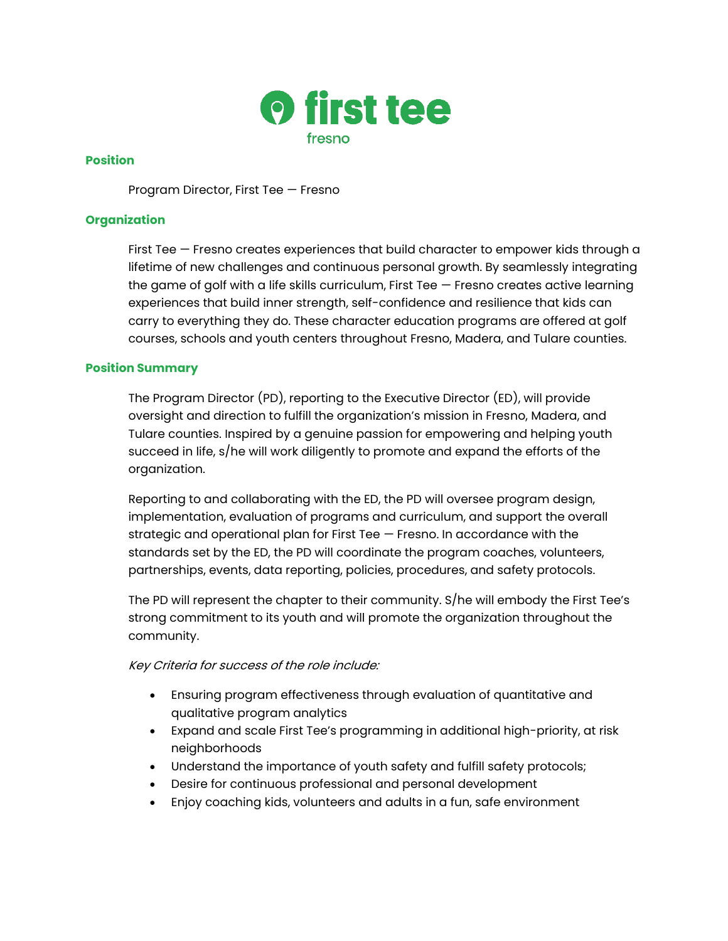

## **Position**

Program Director, First Tee — Fresno

## **Organization**

First Tee — Fresno creates experiences that build character to empower kids through a lifetime of new challenges and continuous personal growth. By seamlessly integrating the game of golf with a life skills curriculum, First Tee — Fresno creates active learning experiences that build inner strength, self-confidence and resilience that kids can carry to everything they do. These character education programs are offered at golf courses, schools and youth centers throughout Fresno, Madera, and Tulare counties.

## **Position Summary**

The Program Director (PD), reporting to the Executive Director (ED), will provide oversight and direction to fulfill the organization's mission in Fresno, Madera, and Tulare counties. Inspired by a genuine passion for empowering and helping youth succeed in life, s/he will work diligently to promote and expand the efforts of the organization.

Reporting to and collaborating with the ED, the PD will oversee program design, implementation, evaluation of programs and curriculum, and support the overall strategic and operational plan for First Tee — Fresno. In accordance with the standards set by the ED, the PD will coordinate the program coaches, volunteers, partnerships, events, data reporting, policies, procedures, and safety protocols.

The PD will represent the chapter to their community. S/he will embody the First Tee's strong commitment to its youth and will promote the organization throughout the community.

#### Key Criteria for success of the role include:

- Ensuring program effectiveness through evaluation of quantitative and qualitative program analytics
- Expand and scale First Tee's programming in additional high-priority, at risk neighborhoods
- Understand the importance of youth safety and fulfill safety protocols;
- Desire for continuous professional and personal development
- Enjoy coaching kids, volunteers and adults in a fun, safe environment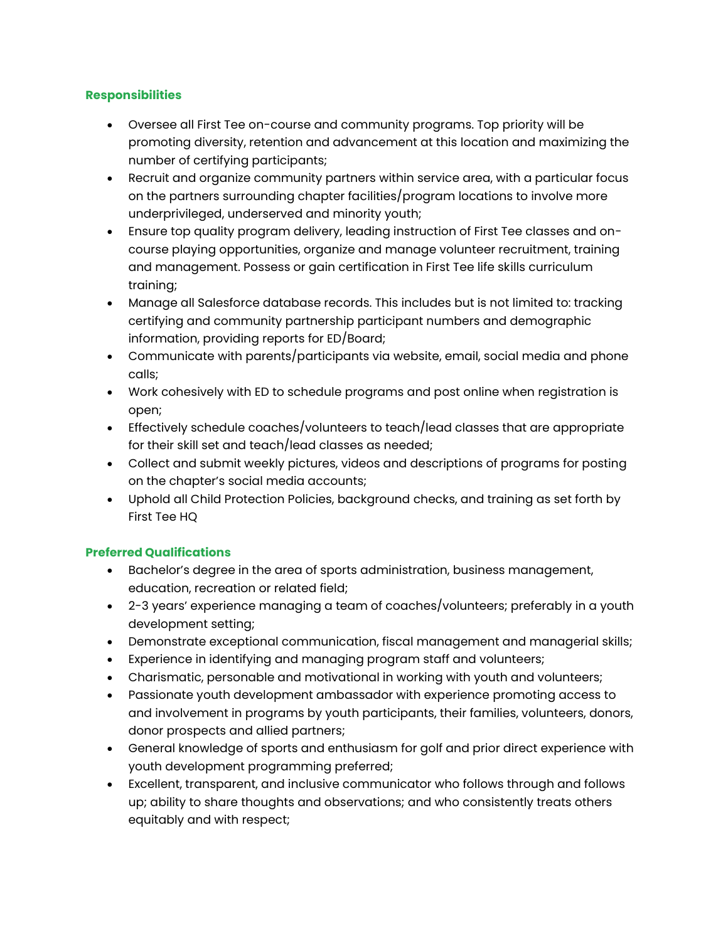## **Responsibilities**

- Oversee all First Tee on-course and community programs. Top priority will be promoting diversity, retention and advancement at this location and maximizing the number of certifying participants;
- Recruit and organize community partners within service area, with a particular focus on the partners surrounding chapter facilities/program locations to involve more underprivileged, underserved and minority youth;
- Ensure top quality program delivery, leading instruction of First Tee classes and oncourse playing opportunities, organize and manage volunteer recruitment, training and management. Possess or gain certification in First Tee life skills curriculum training;
- Manage all Salesforce database records. This includes but is not limited to: tracking certifying and community partnership participant numbers and demographic information, providing reports for ED/Board;
- Communicate with parents/participants via website, email, social media and phone calls;
- Work cohesively with ED to schedule programs and post online when registration is open;
- Effectively schedule coaches/volunteers to teach/lead classes that are appropriate for their skill set and teach/lead classes as needed;
- Collect and submit weekly pictures, videos and descriptions of programs for posting on the chapter's social media accounts;
- Uphold all Child Protection Policies, background checks, and training as set forth by First Tee HQ

# **Preferred Qualifications**

- Bachelor's degree in the area of sports administration, business management, education, recreation or related field;
- 2-3 years' experience managing a team of coaches/volunteers; preferably in a youth development setting;
- Demonstrate exceptional communication, fiscal management and managerial skills;
- Experience in identifying and managing program staff and volunteers;
- Charismatic, personable and motivational in working with youth and volunteers;
- Passionate youth development ambassador with experience promoting access to and involvement in programs by youth participants, their families, volunteers, donors, donor prospects and allied partners;
- General knowledge of sports and enthusiasm for golf and prior direct experience with youth development programming preferred;
- Excellent, transparent, and inclusive communicator who follows through and follows up; ability to share thoughts and observations; and who consistently treats others equitably and with respect;